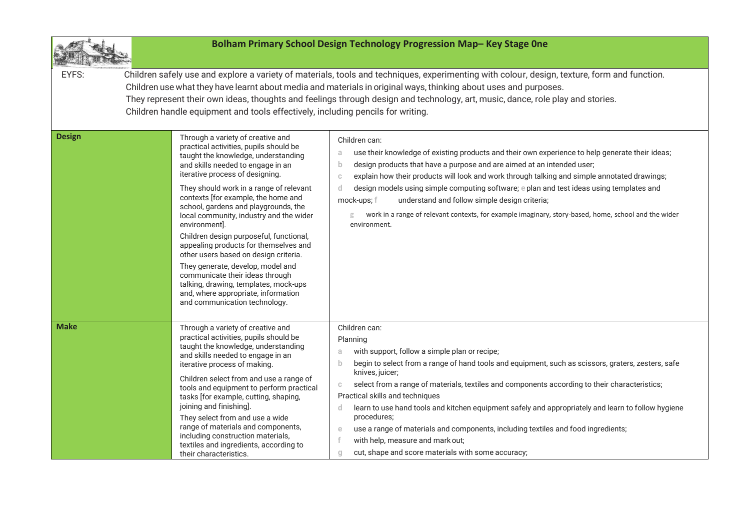| Bolham Primary School Design Technology Progression Map-Key Stage One                                                                                                                                                                                                                                                                                                                                                                                                                                                                                                                                           |                                                                                                                                                                                                                                                                                                                                                                                                                                                                                                                                                                                                                         |                                                                                                                                                                                                                                                                                                                                                                                                                                                                                                                                                                                                                                                                                                |  |
|-----------------------------------------------------------------------------------------------------------------------------------------------------------------------------------------------------------------------------------------------------------------------------------------------------------------------------------------------------------------------------------------------------------------------------------------------------------------------------------------------------------------------------------------------------------------------------------------------------------------|-------------------------------------------------------------------------------------------------------------------------------------------------------------------------------------------------------------------------------------------------------------------------------------------------------------------------------------------------------------------------------------------------------------------------------------------------------------------------------------------------------------------------------------------------------------------------------------------------------------------------|------------------------------------------------------------------------------------------------------------------------------------------------------------------------------------------------------------------------------------------------------------------------------------------------------------------------------------------------------------------------------------------------------------------------------------------------------------------------------------------------------------------------------------------------------------------------------------------------------------------------------------------------------------------------------------------------|--|
| Children safely use and explore a variety of materials, tools and techniques, experimenting with colour, design, texture, form and function.<br>EYFS:<br>Children use what they have learnt about media and materials in original ways, thinking about uses and purposes.<br>They represent their own ideas, thoughts and feelings through design and technology, art, music, dance, role play and stories.<br>Children handle equipment and tools effectively, including pencils for writing.<br><b>Design</b><br>Through a variety of creative and<br>Children can:<br>practical activities, pupils should be |                                                                                                                                                                                                                                                                                                                                                                                                                                                                                                                                                                                                                         |                                                                                                                                                                                                                                                                                                                                                                                                                                                                                                                                                                                                                                                                                                |  |
|                                                                                                                                                                                                                                                                                                                                                                                                                                                                                                                                                                                                                 | taught the knowledge, understanding<br>and skills needed to engage in an<br>iterative process of designing.<br>They should work in a range of relevant<br>contexts [for example, the home and<br>school, gardens and playgrounds, the<br>local community, industry and the wider<br>environment].<br>Children design purposeful, functional,<br>appealing products for themselves and<br>other users based on design criteria.<br>They generate, develop, model and<br>communicate their ideas through<br>talking, drawing, templates, mock-ups<br>and, where appropriate, information<br>and communication technology. | use their knowledge of existing products and their own experience to help generate their ideas;<br>a<br>design products that have a purpose and are aimed at an intended user;<br>$\mathbf{b}$<br>explain how their products will look and work through talking and simple annotated drawings;<br>$\mathbb{C}$<br>design models using simple computing software; e plan and test ideas using templates and<br>d.<br>mock-ups; f<br>understand and follow simple design criteria;<br>work in a range of relevant contexts, for example imaginary, story-based, home, school and the wider<br>g<br>environment.                                                                                  |  |
| <b>Make</b>                                                                                                                                                                                                                                                                                                                                                                                                                                                                                                                                                                                                     | Through a variety of creative and<br>practical activities, pupils should be<br>taught the knowledge, understanding<br>and skills needed to engage in an<br>iterative process of making.<br>Children select from and use a range of<br>tools and equipment to perform practical<br>tasks [for example, cutting, shaping,<br>joining and finishing].<br>They select from and use a wide<br>range of materials and components,<br>including construction materials,<br>textiles and ingredients, according to<br>their characteristics.                                                                                    | Children can:<br>Planning<br>with support, follow a simple plan or recipe;<br>a<br>begin to select from a range of hand tools and equipment, such as scissors, graters, zesters, safe<br>$\mathbf{b}$<br>knives, juicer;<br>select from a range of materials, textiles and components according to their characteristics;<br>C<br>Practical skills and techniques<br>learn to use hand tools and kitchen equipment safely and appropriately and learn to follow hygiene<br>d.<br>procedures;<br>use a range of materials and components, including textiles and food ingredients;<br>$\epsilon$<br>with help, measure and mark out;<br>cut, shape and score materials with some accuracy;<br>g |  |